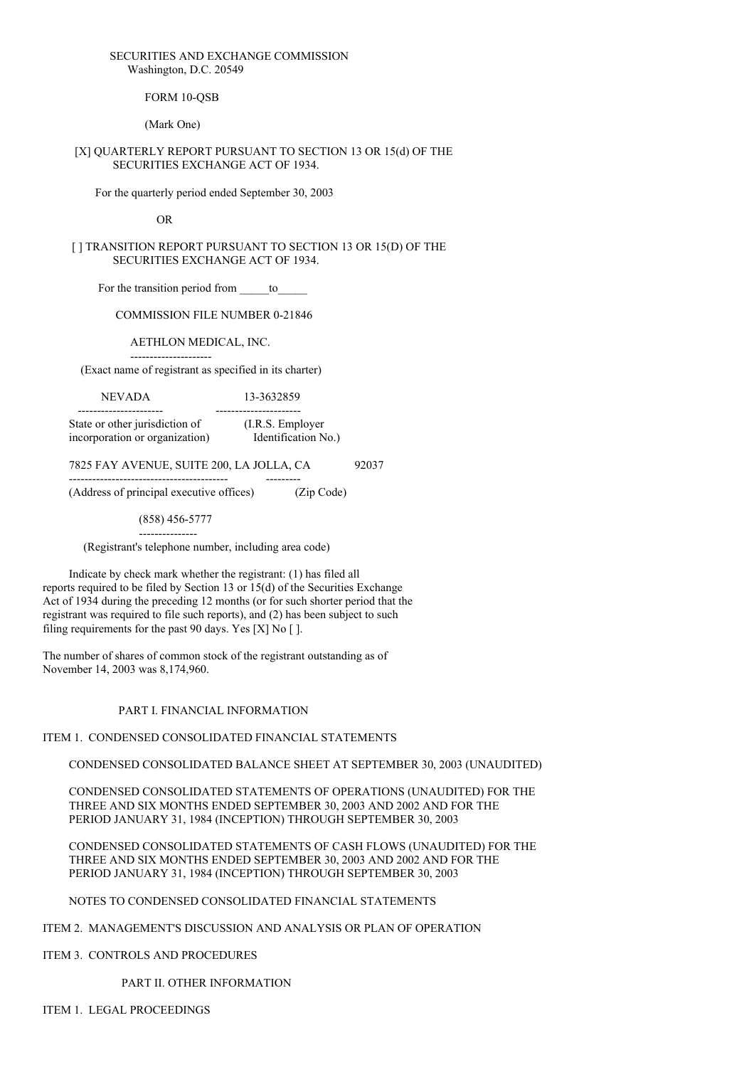#### SECURITIES AND EXCHANGE COMMISSION Washington, D.C. 20549

FORM 10-OSB

(Mark One)

### [X] QUARTERLY REPORT PURSUANT TO SECTION 13 OR 15(d) OF THE SECURITIES EXCHANGE ACT OF 1934.

For the quarterly period ended September 30, 2003

OR

[ ] TRANSITION REPORT PURSUANT TO SECTION 13 OR 15(D) OF THE SECURITIES EXCHANGE ACT OF 1934.

For the transition period from to

COMMISSION FILE NUMBER 0-21846

AETHLON MEDICAL, INC.

--------------------- (Exact name of registrant as specified in its charter)

NEVADA 13-3632859

---------------------- ---------------------- State or other jurisdiction of (I.R.S. Employer incorporation or organization) Identification No.)

7825 FAY AVENUE, SUITE 200, LA JOLLA, CA 92037

----------------------------------------- --------- (Address of principal executive offices) (Zip Code)

(858) 456-5777

--------------- (Registrant's telephone number, including area code)

Indicate by check mark whether the registrant: (1) has filed all reports required to be filed by Section 13 or 15(d) of the Securities Exchange Act of 1934 during the preceding 12 months (or for such shorter period that the registrant was required to file such reports), and (2) has been subject to such filing requirements for the past 90 days. Yes [X] No [ ].

The number of shares of common stock of the registrant outstanding as of November 14, 2003 was 8,174,960.

### PART I. FINANCIAL INFORMATION

ITEM 1. CONDENSED CONSOLIDATED FINANCIAL STATEMENTS

CONDENSED CONSOLIDATED BALANCE SHEET AT SEPTEMBER 30, 2003 (UNAUDITED)

CONDENSED CONSOLIDATED STATEMENTS OF OPERATIONS (UNAUDITED) FOR THE THREE AND SIX MONTHS ENDED SEPTEMBER 30, 2003 AND 2002 AND FOR THE PERIOD JANUARY 31, 1984 (INCEPTION) THROUGH SEPTEMBER 30, 2003

CONDENSED CONSOLIDATED STATEMENTS OF CASH FLOWS (UNAUDITED) FOR THE THREE AND SIX MONTHS ENDED SEPTEMBER 30, 2003 AND 2002 AND FOR THE PERIOD JANUARY 31, 1984 (INCEPTION) THROUGH SEPTEMBER 30, 2003

NOTES TO CONDENSED CONSOLIDATED FINANCIAL STATEMENTS

ITEM 2. MANAGEMENT'S DISCUSSION AND ANALYSIS OR PLAN OF OPERATION

ITEM 3. CONTROLS AND PROCEDURES

PART II. OTHER INFORMATION

ITEM 1. LEGAL PROCEEDINGS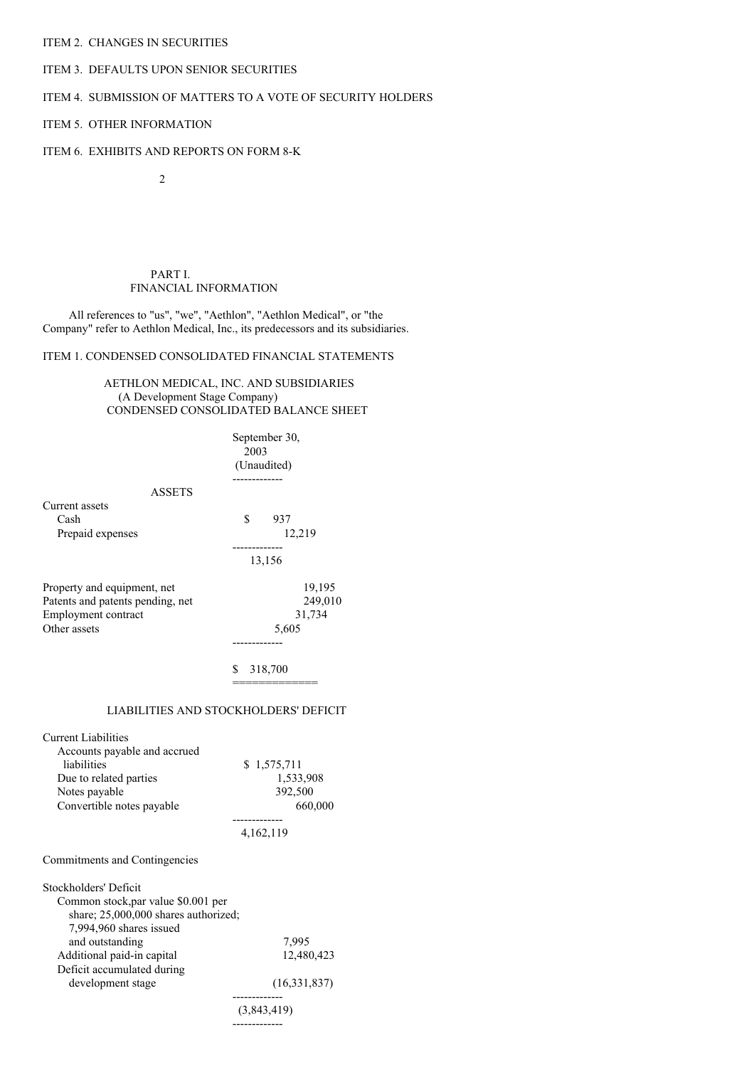### ITEM 2. CHANGES IN SECURITIES

# ITEM 3. DEFAULTS UPON SENIOR SECURITIES

## ITEM 4. SUBMISSION OF MATTERS TO A VOTE OF SECURITY HOLDERS

### ITEM 5. OTHER INFORMATION

## ITEM 6. EXHIBITS AND REPORTS ON FORM 8-K

 $\overline{2}$ 

#### PART I. FINANCIAL INFORMATION

All references to "us", "we", "Aethlon", "Aethlon Medical", or "the Company" refer to Aethlon Medical, Inc., its predecessors and its subsidiaries.

## ITEM 1. CONDENSED CONSOLIDATED FINANCIAL STATEMENTS

AETHLON MEDICAL, INC. AND SUBSIDIARIES (A Development Stage Company) CONDENSED CONSOLIDATED BALANCE SHEET

|                                  | September 30,<br>2003<br>(Unaudited) |
|----------------------------------|--------------------------------------|
| <b>ASSETS</b>                    |                                      |
| Current assets                   |                                      |
| Cash                             | \$<br>937                            |
| Prepaid expenses                 | 12,219                               |
|                                  | ------------                         |
|                                  | 13,156                               |
| Property and equipment, net      | 19,195                               |
| Patents and patents pending, net | 249,010                              |
| Employment contract              | 31,734                               |
| Other assets                     | 5,605                                |
|                                  | ---------                            |
|                                  | 318,700<br>\$                        |

## LIABILITIES AND STOCKHOLDERS' DEFICIT

| <b>Current Liabilities</b>           |              |
|--------------------------------------|--------------|
| Accounts payable and accrued         |              |
| liabilities                          | \$1,575,711  |
| Due to related parties               | 1,533,908    |
| Notes payable                        | 392,500      |
| Convertible notes payable            | 660,000      |
|                                      | 4,162,119    |
| Commitments and Contingencies        |              |
|                                      |              |
| Stockholders' Deficit                |              |
| Common stock, par value \$0.001 per  |              |
| share; 25,000,000 shares authorized; |              |
| 7,994,960 shares issued              |              |
| and outstanding                      | 7,995        |
| Additional paid-in capital           | 12,480,423   |
| Deficit accumulated during           |              |
| development stage                    | (16,331,837) |
|                                      | (3,843,419)  |
|                                      | ------------ |
|                                      |              |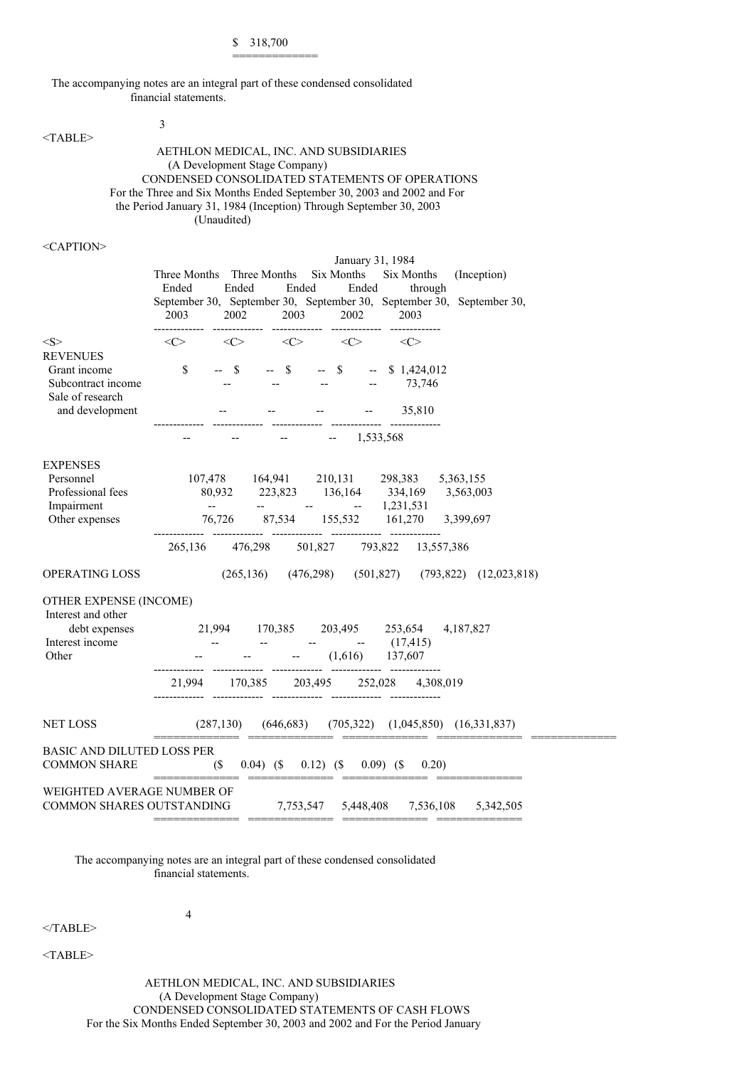\$ 318,700 =============

The accompanying notes are an integral part of these condensed consolidated financial statements.

3

<TABLE>

AETHLON MEDICAL, INC. AND SUBSIDIARIES (A Development Stage Company) CONDENSED CONSOLIDATED STATEMENTS OF OPERATIONS For the Three and Six Months Ended September 30, 2003 and 2002 and For the Period January 31, 1984 (Inception) Through September 30, 2003 (Unaudited)

<CAPTION>

|                                                                                   | Three Months Three Months<br>Ended<br>2003 | Ended<br>Ended<br>2002                                                                                                           | January 31, 1984<br>Six Months<br>Ended<br>2003 2002       | Six Months<br>through<br>2003 | (Inception)<br>September 30, September 30, September 30, September 30, September 30, |
|-----------------------------------------------------------------------------------|--------------------------------------------|----------------------------------------------------------------------------------------------------------------------------------|------------------------------------------------------------|-------------------------------|--------------------------------------------------------------------------------------|
| $<\!\!S\!\!>$                                                                     | <<>                                        | $\langle$ C>                                                                                                                     | $\langle C \rangle$<br>$\langle C \rangle$                 | <<>                           |                                                                                      |
| <b>REVENUES</b><br>Grant income<br>Subcontract income                             | $\mathbb{S}$                               | $--$ \$<br>$--$ \$                                                                                                               | $--$ \$                                                    | $-$ \$ 1,424,012<br>73,746    |                                                                                      |
| Sale of research<br>and development                                               |                                            | والمساوي والمستورة والمساوي والمساوي                                                                                             |                                                            | 35,810                        |                                                                                      |
|                                                                                   |                                            |                                                                                                                                  | 1,533,568<br>$\mathord{\hspace{1pt}\text{--}\hspace{1pt}}$ |                               |                                                                                      |
| <b>EXPENSES</b><br>Personnel<br>Professional fees<br>Impairment<br>Other expenses | $\Delta\Delta\sim 10^{11}$ m $^{-1}$       | 107,478 164,941 210,131 298,383 5,363,155<br>80,932 223,823 136,164 334,169 3,563,003<br>76,726 87,534 155,532 161,270 3,399,697 | $   1,231,531$                                             |                               |                                                                                      |
|                                                                                   |                                            | 265,136 476,298 501,827 793,822 13,557,386                                                                                       |                                                            |                               |                                                                                      |
| OPERATING LOSS                                                                    |                                            |                                                                                                                                  |                                                            |                               | $(265, 136)$ $(476, 298)$ $(501, 827)$ $(793, 822)$ $(12, 023, 818)$                 |
| OTHER EXPENSE (INCOME)<br>Interest and other                                      |                                            |                                                                                                                                  |                                                            |                               |                                                                                      |
| debt expenses<br>Interest income<br>Other                                         | 21,994 170,385 203,495 253,654             | $    (17,415)$<br>$ (1,616)$ $137,607$                                                                                           |                                                            |                               | 4,187,827                                                                            |
|                                                                                   |                                            | 21,994 170,385 203,495 252,028 4,308,019                                                                                         |                                                            |                               |                                                                                      |
| <b>NET LOSS</b>                                                                   |                                            | $(287,130)$ $(646,683)$ $(705,322)$ $(1,045,850)$ $(16,331,837)$<br>----------- - ------------- -------                          |                                                            |                               |                                                                                      |
| <b>BASIC AND DILUTED LOSS PER</b><br><b>COMMON SHARE</b>                          |                                            | $(S = 0.04)$ $(S = 0.12)$ $(S = 0.09)$ $(S = 0.20)$                                                                              |                                                            |                               |                                                                                      |
| WEIGHTED AVERAGE NUMBER OF<br><b>COMMON SHARES OUTSTANDING</b>                    |                                            |                                                                                                                                  |                                                            |                               | 7,753,547 5,448,408 7,536,108 5,342,505                                              |

The accompanying notes are an integral part of these condensed consolidated financial statements.

4

 $<$ /TABLE>

<TABLE>

AETHLON MEDICAL, INC. AND SUBSIDIARIES (A Development Stage Company) CONDENSED CONSOLIDATED STATEMENTS OF CASH FLOWS For the Six Months Ended September 30, 2003 and 2002 and For the Period January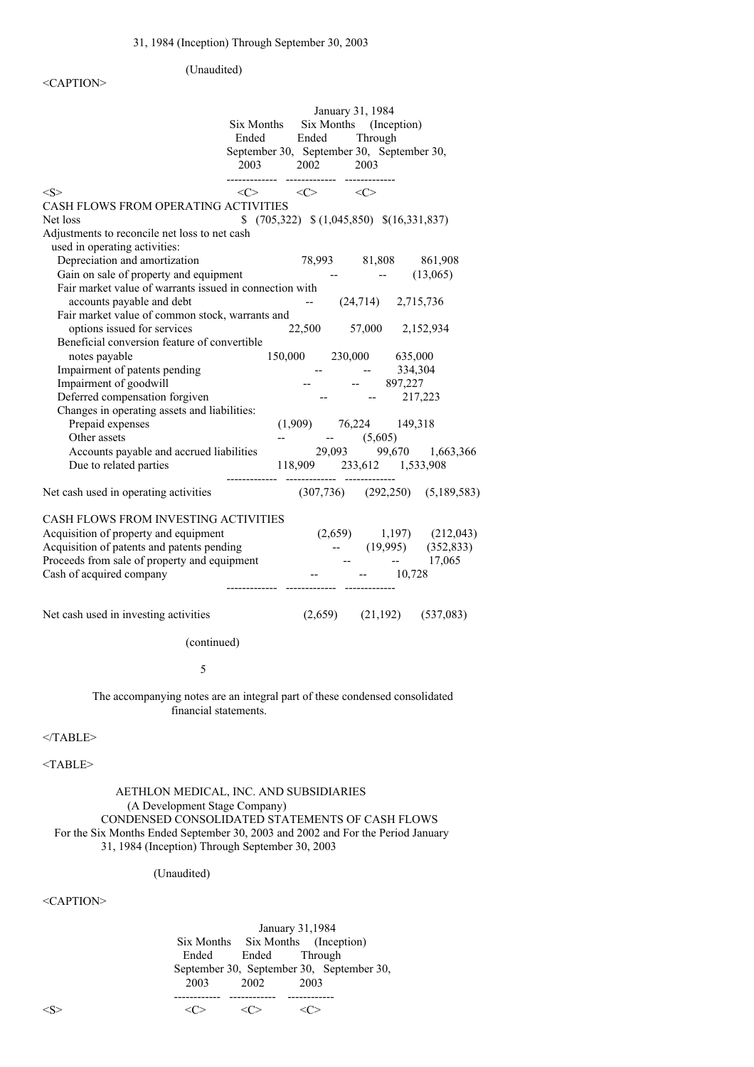# <CAPTION>

(Unaudited)

|                                                                                                                            | Six Months<br>Ended<br>September 30, September 30, September 30,<br>2003 | Ended<br>2002                           |         | January 31, 1984<br>Six Months (Inception)<br>Through<br>2003 |            |                                       |
|----------------------------------------------------------------------------------------------------------------------------|--------------------------------------------------------------------------|-----------------------------------------|---------|---------------------------------------------------------------|------------|---------------------------------------|
| <s></s>                                                                                                                    | $\langle$ $\rangle$                                                      | $\langle C \rangle$ $\langle C \rangle$ |         |                                                               |            |                                       |
| CASH FLOWS FROM OPERATING ACTIVITIES                                                                                       |                                                                          |                                         |         |                                                               |            |                                       |
| Net loss                                                                                                                   | $(705,322)$ $(1,045,850)$ $(16,331,837)$                                 |                                         |         |                                                               |            |                                       |
| Adjustments to reconcile net loss to net cash                                                                              |                                                                          |                                         |         |                                                               |            |                                       |
| used in operating activities:                                                                                              |                                                                          |                                         |         |                                                               |            |                                       |
| Depreciation and amortization                                                                                              |                                                                          |                                         |         |                                                               |            | 78,993 81,808 861,908                 |
| Gain on sale of property and equipment                                                                                     |                                                                          |                                         |         | <b>Service State</b>                                          |            | (13,065)                              |
| Fair market value of warrants issued in connection with                                                                    |                                                                          |                                         |         |                                                               |            |                                       |
| accounts payable and debt                                                                                                  |                                                                          | $-$                                     |         | $(24,714)$ 2,715,736                                          |            |                                       |
| Fair market value of common stock, warrants and                                                                            |                                                                          |                                         |         |                                                               |            |                                       |
| options issued for services                                                                                                |                                                                          | 22,500                                  |         |                                                               |            | 57,000 2,152,934                      |
| Beneficial conversion feature of convertible                                                                               |                                                                          |                                         |         |                                                               |            |                                       |
| notes payable                                                                                                              |                                                                          |                                         |         | 150,000 230,000 635,000                                       |            |                                       |
| Impairment of patents pending                                                                                              |                                                                          |                                         |         |                                                               | 334,304    |                                       |
| Impairment of goodwill                                                                                                     |                                                                          |                                         |         | $-897,227$                                                    |            |                                       |
| Deferred compensation forgiven                                                                                             |                                                                          |                                         |         |                                                               | $-217,223$ |                                       |
| Changes in operating assets and liabilities:                                                                               |                                                                          |                                         |         |                                                               |            |                                       |
| Prepaid expenses                                                                                                           |                                                                          |                                         |         | $(1,909)$ 76,224 149,318                                      |            |                                       |
| Other assets                                                                                                               |                                                                          |                                         |         | $-$ (5,605)                                                   |            |                                       |
| Accounts payable and accrued liabilities<br>Due to related parties                                                         |                                                                          |                                         |         | 118,909 233,612 1,533,908                                     |            | 29,093 99,670 1,663,366               |
|                                                                                                                            |                                                                          |                                         |         |                                                               |            |                                       |
| Net cash used in operating activities                                                                                      |                                                                          |                                         |         |                                                               |            | $(307,736)$ $(292,250)$ $(5,189,583)$ |
| CASH FLOWS FROM INVESTING ACTIVITIES                                                                                       |                                                                          |                                         |         |                                                               |            |                                       |
| Acquisition of property and equipment                                                                                      |                                                                          |                                         | (2,659) |                                                               |            | $1,197$ $(212,043)$                   |
| Acquisition of patents and patents pending                                                                                 |                                                                          |                                         |         |                                                               | (19,995)   | (352, 833)                            |
| Proceeds from sale of property and equipment                                                                               |                                                                          |                                         |         |                                                               |            | $-17,065$                             |
| Cash of acquired company                                                                                                   |                                                                          |                                         |         |                                                               | 10,728     |                                       |
|                                                                                                                            |                                                                          |                                         |         |                                                               |            |                                       |
| Net cash used in investing activities                                                                                      |                                                                          |                                         |         |                                                               |            | $(2,659)$ $(21,192)$ $(537,083)$      |
| (continued)                                                                                                                |                                                                          |                                         |         |                                                               |            |                                       |
|                                                                                                                            |                                                                          |                                         |         |                                                               |            |                                       |
| 5                                                                                                                          |                                                                          |                                         |         |                                                               |            |                                       |
| The accompanying notes are an integral part of these condensed consolidated<br>financial statements.                       |                                                                          |                                         |         |                                                               |            |                                       |
| $<$ /TABLE>                                                                                                                |                                                                          |                                         |         |                                                               |            |                                       |
| $<$ TABLE>                                                                                                                 |                                                                          |                                         |         |                                                               |            |                                       |
| AETHLON MEDICAL, INC. AND SUBSIDIARIES<br>(A Development Stage Company)<br>CONDENSED CONSOLIDATED STATEMENTS OF CASH FLOWS |                                                                          |                                         |         |                                                               |            |                                       |

For the Six Months Ended September 30, 2003 and 2002 and For the Period January

31, 1984 (Inception) Through September 30, 2003

# (Unaudited)

<CAPTION>

January 31,1984 Six Months Six Months (Inception) Through September 30, September 30, September 30, 2003<br>2003<br>2003  $2002$ ------------ ------------ ------------  $\langle S \rangle$   $\langle C \rangle$   $\langle C \rangle$   $\langle C \rangle$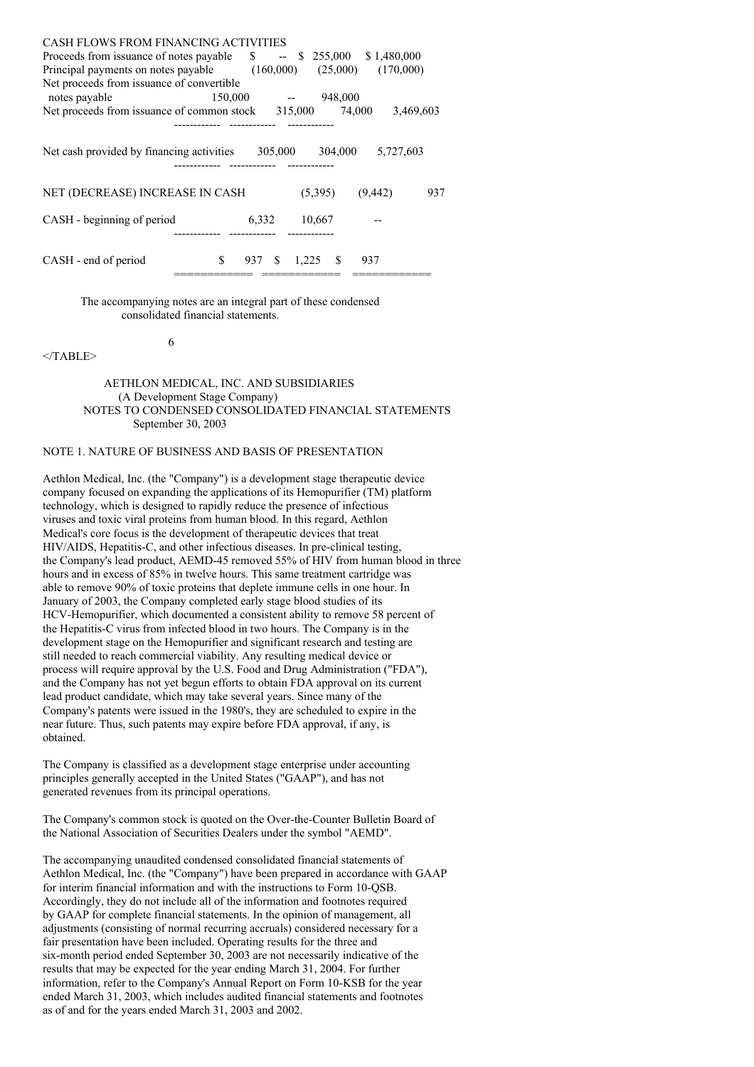| <b>CASH FLOWS FROM FINANCING ACTIVITIES</b> |              |             |          |             |           |
|---------------------------------------------|--------------|-------------|----------|-------------|-----------|
| Proceeds from issuance of notes payable     | $\mathbb{S}$ | $- S$       | 255,000  | \$1,480,000 |           |
| Principal payments on notes payable         |              | (160,000)   | (25,000) | (170,000)   |           |
| Net proceeds from issuance of convertible   |              |             |          |             |           |
| notes payable                               | 150,000      |             | 948,000  |             |           |
| Net proceeds from issuance of common stock  |              | 315,000     | 74,000   |             | 3,469,603 |
|                                             |              |             |          |             |           |
| Net cash provided by financing activities   |              | 305,000     | 304,000  | 5,727,603   |           |
| NET (DECREASE) INCREASE IN CASH             |              |             | (5,395)  | (9, 442)    | 937       |
| CASH - beginning of period                  | 6,332        |             | 10,667   |             |           |
| CASH - end of period                        | \$<br>937    | -S<br>1,225 | S        | 937         |           |

The accompanying notes are an integral part of these condensed consolidated financial statements.

</TABLE>

## AETHLON MEDICAL, INC. AND SUBSIDIARIES (A Development Stage Company) NOTES TO CONDENSED CONSOLIDATED FINANCIAL STATEMENTS September 30, 2003

# NOTE 1. NATURE OF BUSINESS AND BASIS OF PRESENTATION

6

Aethlon Medical, Inc. (the "Company") is a development stage therapeutic device company focused on expanding the applications of its Hemopurifier (TM) platform technology, which is designed to rapidly reduce the presence of infectious viruses and toxic viral proteins from human blood. In this regard, Aethlon Medical's core focus is the development of therapeutic devices that treat HIV/AIDS, Hepatitis-C, and other infectious diseases. In pre-clinical testing, the Company's lead product, AEMD-45 removed 55% of HIV from human blood in three hours and in excess of 85% in twelve hours. This same treatment cartridge was able to remove 90% of toxic proteins that deplete immune cells in one hour. In January of 2003, the Company completed early stage blood studies of its HCV-Hemopurifier, which documented a consistent ability to remove 58 percent of the Hepatitis-C virus from infected blood in two hours. The Company is in the development stage on the Hemopurifier and significant research and testing are still needed to reach commercial viability. Any resulting medical device or process will require approval by the U.S. Food and Drug Administration ("FDA"), and the Company has not yet begun efforts to obtain FDA approval on its current lead product candidate, which may take several years. Since many of the Company's patents were issued in the 1980's, they are scheduled to expire in the near future. Thus, such patents may expire before FDA approval, if any, is obtained.

The Company is classified as a development stage enterprise under accounting principles generally accepted in the United States ("GAAP"), and has not generated revenues from its principal operations.

The Company's common stock is quoted on the Over-the-Counter Bulletin Board of the National Association of Securities Dealers under the symbol "AEMD".

The accompanying unaudited condensed consolidated financial statements of Aethlon Medical, Inc. (the "Company") have been prepared in accordance with GAAP for interim financial information and with the instructions to Form 10-QSB. Accordingly, they do not include all of the information and footnotes required by GAAP for complete financial statements. In the opinion of management, all adjustments (consisting of normal recurring accruals) considered necessary for a fair presentation have been included. Operating results for the three and six-month period ended September 30, 2003 are not necessarily indicative of the results that may be expected for the year ending March 31, 2004. For further information, refer to the Company's Annual Report on Form 10-KSB for the year ended March 31, 2003, which includes audited financial statements and footnotes as of and for the years ended March 31, 2003 and 2002.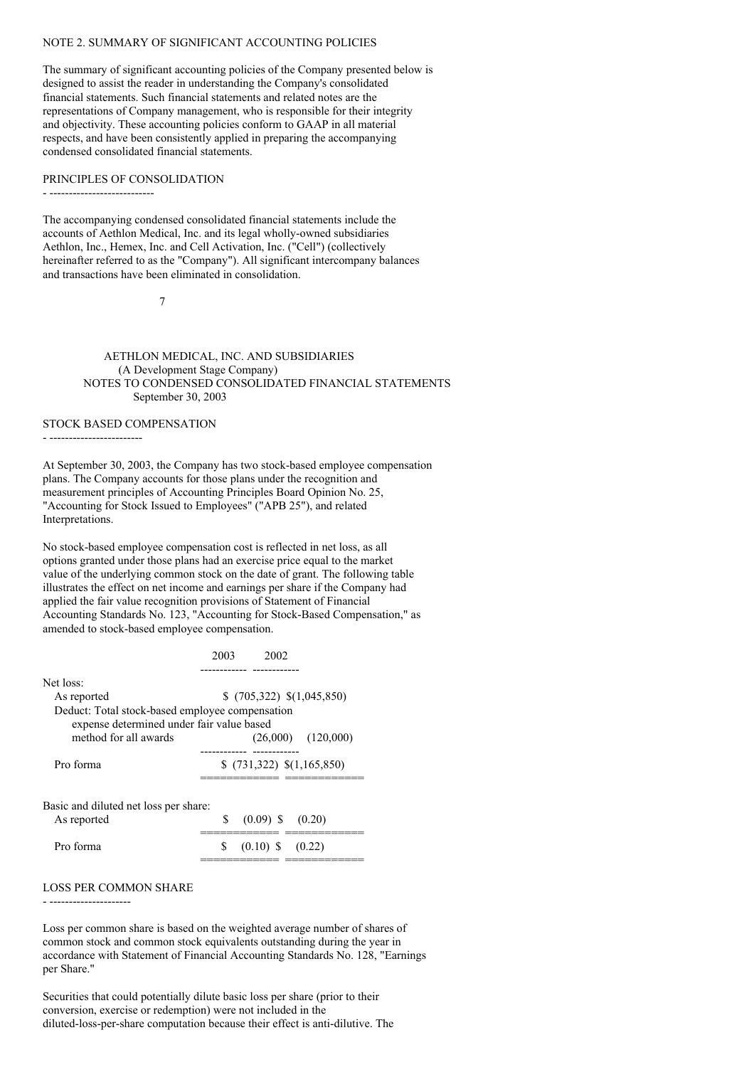### NOTE 2. SUMMARY OF SIGNIFICANT ACCOUNTING POLICIES

The summary of significant accounting policies of the Company presented below is designed to assist the reader in understanding the Company's consolidated financial statements. Such financial statements and related notes are the representations of Company management, who is responsible for their integrity and objectivity. These accounting policies conform to GAAP in all material respects, and have been consistently applied in preparing the accompanying condensed consolidated financial statements.

#### PRINCIPLES OF CONSOLIDATION

- ---------------------------

The accompanying condensed consolidated financial statements include the accounts of Aethlon Medical, Inc. and its legal wholly-owned subsidiaries Aethlon, Inc., Hemex, Inc. and Cell Activation, Inc. ("Cell") (collectively hereinafter referred to as the "Company"). All significant intercompany balances and transactions have been eliminated in consolidation.

7

AETHLON MEDICAL, INC. AND SUBSIDIARIES (A Development Stage Company) NOTES TO CONDENSED CONSOLIDATED FINANCIAL STATEMENTS September 30, 2003

### STOCK BASED COMPENSATION

- ------------------------

At September 30, 2003, the Company has two stock-based employee compensation plans. The Company accounts for those plans under the recognition and measurement principles of Accounting Principles Board Opinion No. 25, "Accounting for Stock Issued to Employees" ("APB 25"), and related Interpretations.

No stock-based employee compensation cost is reflected in net loss, as all options granted under those plans had an exercise price equal to the market value of the underlying common stock on the date of grant. The following table illustrates the effect on net income and earnings per share if the Company had applied the fair value recognition provisions of Statement of Financial Accounting Standards No. 123, "Accounting for Stock-Based Compensation," as amended to stock-based employee compensation.

|                                                                                              | 2002<br>2003               |
|----------------------------------------------------------------------------------------------|----------------------------|
| Net loss:                                                                                    |                            |
| As reported                                                                                  | $(705,322)$ $(1,045,850)$  |
| Deduct: Total stock-based employee compensation<br>expense determined under fair value based |                            |
| method for all awards                                                                        | $(26,000)$ $(120,000)$     |
|                                                                                              |                            |
| Pro forma                                                                                    | $(731,322)$ $(1,165,850)$  |
| Basic and diluted net loss per share:<br>As reported                                         | \$<br>$(0.09)$ \$ $(0.20)$ |
| Pro forma                                                                                    | S<br>$(0.10)$ \$ $(0.22)$  |

#### LOSS PER COMMON SHARE

- ---------------------

Loss per common share is based on the weighted average number of shares of common stock and common stock equivalents outstanding during the year in accordance with Statement of Financial Accounting Standards No. 128, "Earnings per Share."

Securities that could potentially dilute basic loss per share (prior to their conversion, exercise or redemption) were not included in the diluted-loss-per-share computation because their effect is anti-dilutive. The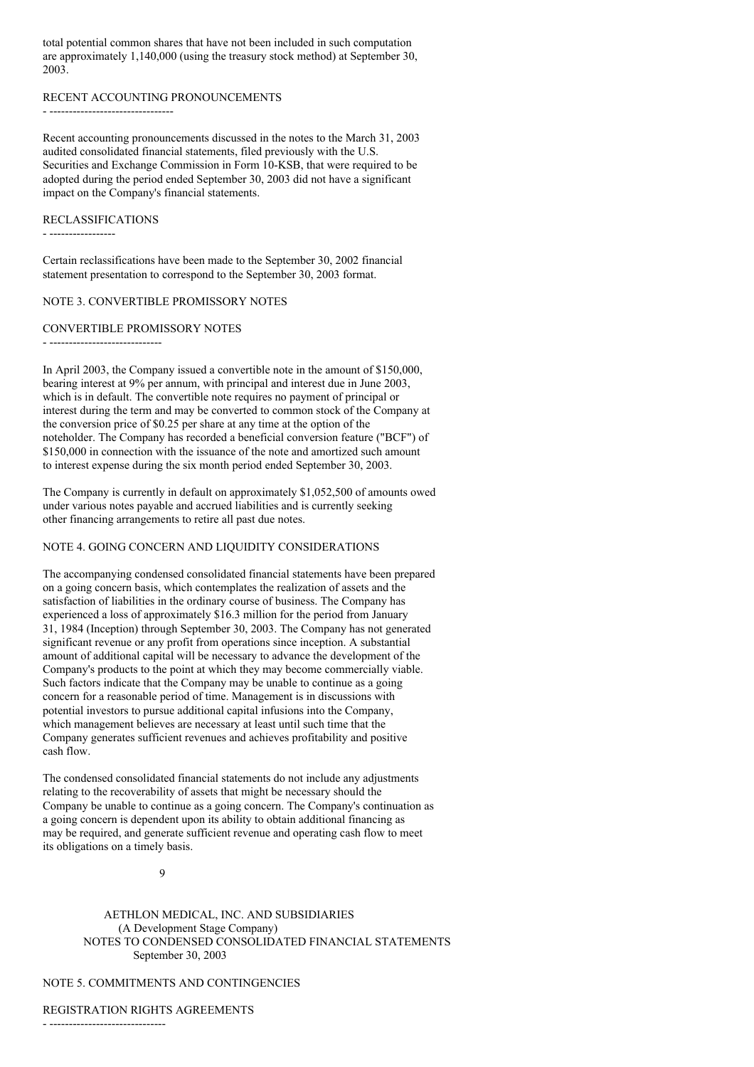total potential common shares that have not been included in such computation are approximately 1,140,000 (using the treasury stock method) at September 30, 2003.

#### RECENT ACCOUNTING PRONOUNCEMENTS

- ----------------------------------

Recent accounting pronouncements discussed in the notes to the March 31, 2003 audited consolidated financial statements, filed previously with the U.S. Securities and Exchange Commission in Form 10-KSB, that were required to be adopted during the period ended September 30, 2003 did not have a significant impact on the Company's financial statements.

#### RECLASSIFICATIONS

- -----------------

Certain reclassifications have been made to the September 30, 2002 financial statement presentation to correspond to the September 30, 2003 format.

### NOTE 3. CONVERTIBLE PROMISSORY NOTES

### CONVERTIBLE PROMISSORY NOTES

- -----------------------------

In April 2003, the Company issued a convertible note in the amount of \$150,000, bearing interest at 9% per annum, with principal and interest due in June 2003, which is in default. The convertible note requires no payment of principal or interest during the term and may be converted to common stock of the Company at the conversion price of \$0.25 per share at any time at the option of the noteholder. The Company has recorded a beneficial conversion feature ("BCF") of \$150,000 in connection with the issuance of the note and amortized such amount to interest expense during the six month period ended September 30, 2003.

The Company is currently in default on approximately \$1,052,500 of amounts owed under various notes payable and accrued liabilities and is currently seeking other financing arrangements to retire all past due notes.

## NOTE 4. GOING CONCERN AND LIQUIDITY CONSIDERATIONS

The accompanying condensed consolidated financial statements have been prepared on a going concern basis, which contemplates the realization of assets and the satisfaction of liabilities in the ordinary course of business. The Company has experienced a loss of approximately \$16.3 million for the period from January 31, 1984 (Inception) through September 30, 2003. The Company has not generated significant revenue or any profit from operations since inception. A substantial amount of additional capital will be necessary to advance the development of the Company's products to the point at which they may become commercially viable. Such factors indicate that the Company may be unable to continue as a going concern for a reasonable period of time. Management is in discussions with potential investors to pursue additional capital infusions into the Company, which management believes are necessary at least until such time that the Company generates sufficient revenues and achieves profitability and positive cash flow.

The condensed consolidated financial statements do not include any adjustments relating to the recoverability of assets that might be necessary should the Company be unable to continue as a going concern. The Company's continuation as a going concern is dependent upon its ability to obtain additional financing as may be required, and generate sufficient revenue and operating cash flow to meet its obligations on a timely basis.

9

AETHLON MEDICAL, INC. AND SUBSIDIARIES (A Development Stage Company) NOTES TO CONDENSED CONSOLIDATED FINANCIAL STATEMENTS September 30, 2003

# NOTE 5. COMMITMENTS AND CONTINGENCIES

REGISTRATION RIGHTS AGREEMENTS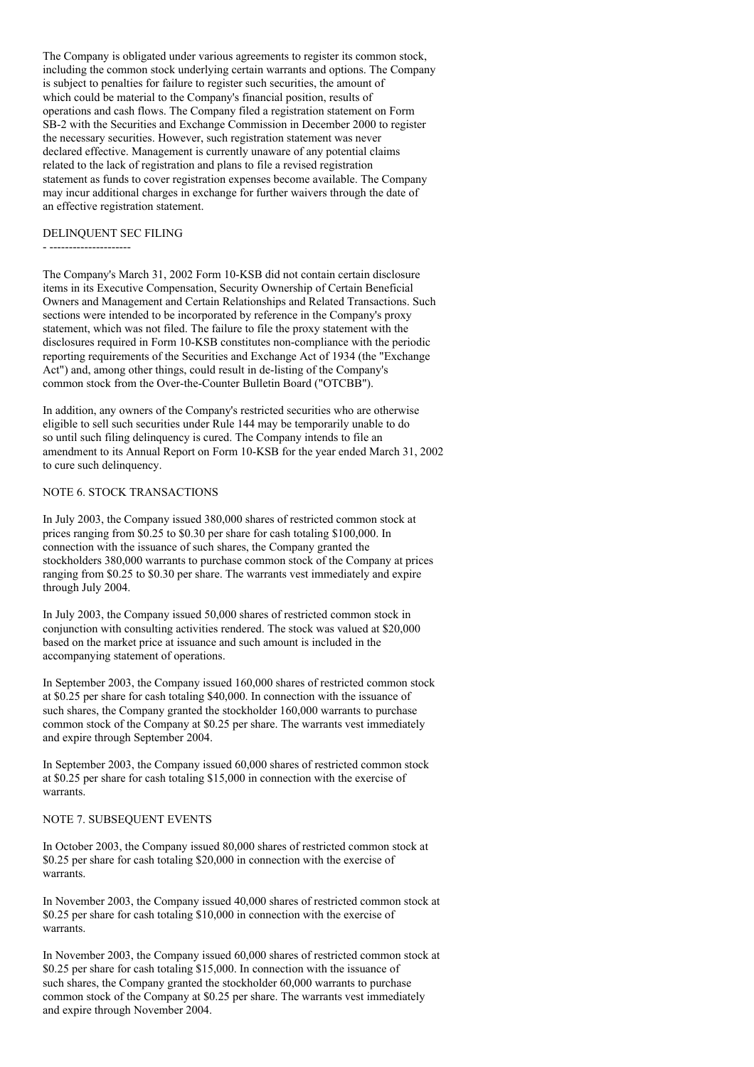The Company is obligated under various agreements to register its common stock, including the common stock underlying certain warrants and options. The Company is subject to penalties for failure to register such securities, the amount of which could be material to the Company's financial position, results of operations and cash flows. The Company filed a registration statement on Form SB-2 with the Securities and Exchange Commission in December 2000 to register the necessary securities. However, such registration statement was never declared effective. Management is currently unaware of any potential claims related to the lack of registration and plans to file a revised registration statement as funds to cover registration expenses become available. The Company may incur additional charges in exchange for further waivers through the date of an effective registration statement.

### DELINQUENT SEC FILING

- ---------------------

The Company's March 31, 2002 Form 10-KSB did not contain certain disclosure items in its Executive Compensation, Security Ownership of Certain Beneficial Owners and Management and Certain Relationships and Related Transactions. Such sections were intended to be incorporated by reference in the Company's proxy statement, which was not filed. The failure to file the proxy statement with the disclosures required in Form 10-KSB constitutes non-compliance with the periodic reporting requirements of the Securities and Exchange Act of 1934 (the "Exchange Act") and, among other things, could result in de-listing of the Company's common stock from the Over-the-Counter Bulletin Board ("OTCBB").

In addition, any owners of the Company's restricted securities who are otherwise eligible to sell such securities under Rule 144 may be temporarily unable to do so until such filing delinquency is cured. The Company intends to file an amendment to its Annual Report on Form 10-KSB for the year ended March 31, 2002 to cure such delinquency.

## NOTE 6. STOCK TRANSACTIONS

In July 2003, the Company issued 380,000 shares of restricted common stock at prices ranging from \$0.25 to \$0.30 per share for cash totaling \$100,000. In connection with the issuance of such shares, the Company granted the stockholders 380,000 warrants to purchase common stock of the Company at prices ranging from \$0.25 to \$0.30 per share. The warrants vest immediately and expire through July 2004.

In July 2003, the Company issued 50,000 shares of restricted common stock in conjunction with consulting activities rendered. The stock was valued at \$20,000 based on the market price at issuance and such amount is included in the accompanying statement of operations.

In September 2003, the Company issued 160,000 shares of restricted common stock at \$0.25 per share for cash totaling \$40,000. In connection with the issuance of such shares, the Company granted the stockholder 160,000 warrants to purchase common stock of the Company at \$0.25 per share. The warrants vest immediately and expire through September 2004.

In September 2003, the Company issued 60,000 shares of restricted common stock at \$0.25 per share for cash totaling \$15,000 in connection with the exercise of warrants.

### NOTE 7. SUBSEQUENT EVENTS

In October 2003, the Company issued 80,000 shares of restricted common stock at \$0.25 per share for cash totaling \$20,000 in connection with the exercise of warrants.

In November 2003, the Company issued 40,000 shares of restricted common stock at \$0.25 per share for cash totaling \$10,000 in connection with the exercise of warrants.

In November 2003, the Company issued 60,000 shares of restricted common stock at \$0.25 per share for cash totaling \$15,000. In connection with the issuance of such shares, the Company granted the stockholder 60,000 warrants to purchase common stock of the Company at \$0.25 per share. The warrants vest immediately and expire through November 2004.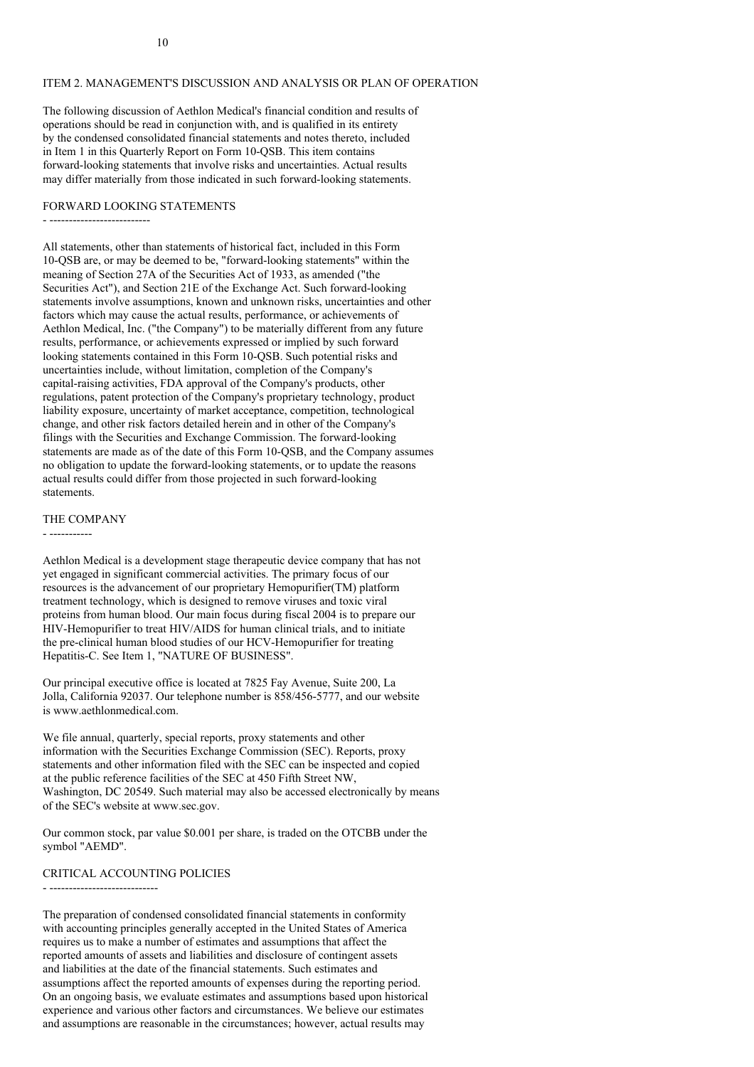## ITEM 2. MANAGEMENT'S DISCUSSION AND ANALYSIS OR PLAN OF OPERATION

The following discussion of Aethlon Medical's financial condition and results of operations should be read in conjunction with, and is qualified in its entirety by the condensed consolidated financial statements and notes thereto, included in Item 1 in this Quarterly Report on Form 10-QSB. This item contains forward-looking statements that involve risks and uncertainties. Actual results may differ materially from those indicated in such forward-looking statements.

### FORWARD LOOKING STATEMENTS

- --------------------------

All statements, other than statements of historical fact, included in this Form 10-QSB are, or may be deemed to be, "forward-looking statements" within the meaning of Section 27A of the Securities Act of 1933, as amended ("the Securities Act"), and Section 21E of the Exchange Act. Such forward-looking statements involve assumptions, known and unknown risks, uncertainties and other factors which may cause the actual results, performance, or achievements of Aethlon Medical, Inc. ("the Company") to be materially different from any future results, performance, or achievements expressed or implied by such forward looking statements contained in this Form 10-QSB. Such potential risks and uncertainties include, without limitation, completion of the Company's capital-raising activities, FDA approval of the Company's products, other regulations, patent protection of the Company's proprietary technology, product liability exposure, uncertainty of market acceptance, competition, technological change, and other risk factors detailed herein and in other of the Company's filings with the Securities and Exchange Commission. The forward-looking statements are made as of the date of this Form 10-QSB, and the Company assumes no obligation to update the forward-looking statements, or to update the reasons actual results could differ from those projected in such forward-looking statements.

#### THE COMPANY

- -----------

Aethlon Medical is a development stage therapeutic device company that has not yet engaged in significant commercial activities. The primary focus of our resources is the advancement of our proprietary Hemopurifier(TM) platform treatment technology, which is designed to remove viruses and toxic viral proteins from human blood. Our main focus during fiscal 2004 is to prepare our HIV-Hemopurifier to treat HIV/AIDS for human clinical trials, and to initiate the pre-clinical human blood studies of our HCV-Hemopurifier for treating Hepatitis-C. See Item 1, "NATURE OF BUSINESS".

Our principal executive office is located at 7825 Fay Avenue, Suite 200, La Jolla, California 92037. Our telephone number is 858/456-5777, and our website is www.aethlonmedical.com.

We file annual, quarterly, special reports, proxy statements and other information with the Securities Exchange Commission (SEC). Reports, proxy statements and other information filed with the SEC can be inspected and copied at the public reference facilities of the SEC at 450 Fifth Street NW, Washington, DC 20549. Such material may also be accessed electronically by means of the SEC's website at www.sec.gov.

Our common stock, par value \$0.001 per share, is traded on the OTCBB under the symbol "AEMD".

#### CRITICAL ACCOUNTING POLICIES

- ----------------------------

The preparation of condensed consolidated financial statements in conformity with accounting principles generally accepted in the United States of America requires us to make a number of estimates and assumptions that affect the reported amounts of assets and liabilities and disclosure of contingent assets and liabilities at the date of the financial statements. Such estimates and assumptions affect the reported amounts of expenses during the reporting period. On an ongoing basis, we evaluate estimates and assumptions based upon historical experience and various other factors and circumstances. We believe our estimates and assumptions are reasonable in the circumstances; however, actual results may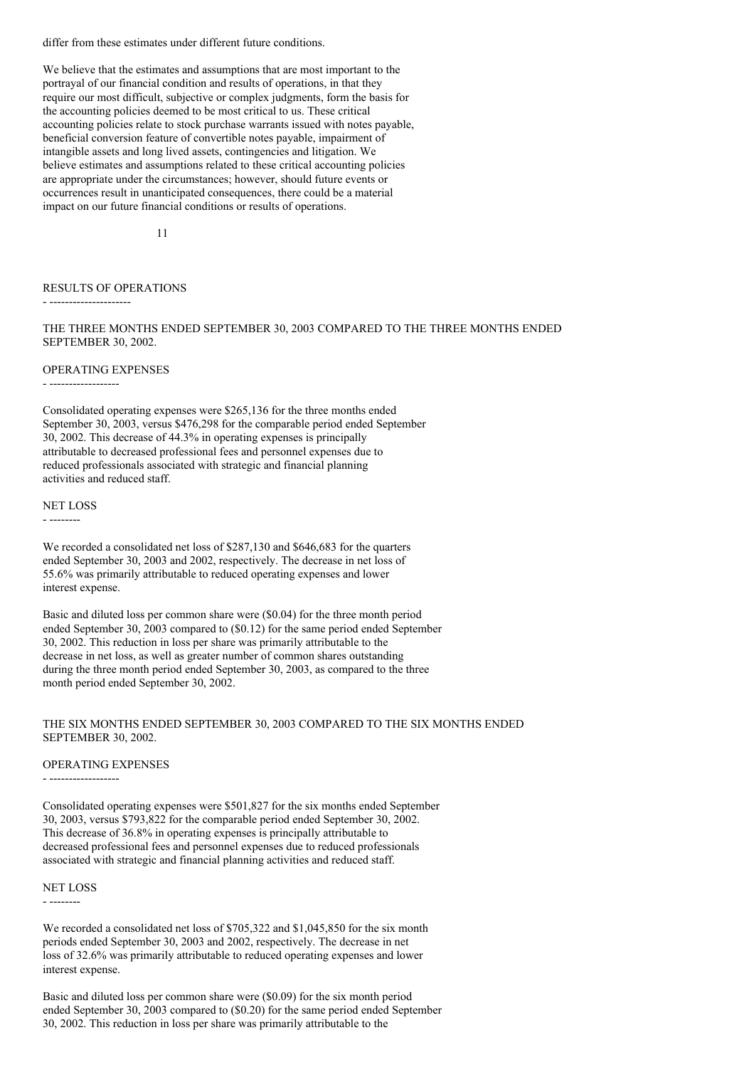differ from these estimates under different future conditions.

We believe that the estimates and assumptions that are most important to the portrayal of our financial condition and results of operations, in that they require our most difficult, subjective or complex judgments, form the basis for the accounting policies deemed to be most critical to us. These critical accounting policies relate to stock purchase warrants issued with notes payable, beneficial conversion feature of convertible notes payable, impairment of intangible assets and long lived assets, contingencies and litigation. We believe estimates and assumptions related to these critical accounting policies are appropriate under the circumstances; however, should future events or occurrences result in unanticipated consequences, there could be a material impact on our future financial conditions or results of operations.

11

### RESULTS OF OPERATIONS

- ---------------------

THE THREE MONTHS ENDED SEPTEMBER 30, 2003 COMPARED TO THE THREE MONTHS ENDED SEPTEMBER 30, 2002.

#### OPERATING EXPENSES

- ------------------

Consolidated operating expenses were \$265,136 for the three months ended September 30, 2003, versus \$476,298 for the comparable period ended September 30, 2002. This decrease of 44.3% in operating expenses is principally attributable to decreased professional fees and personnel expenses due to reduced professionals associated with strategic and financial planning activities and reduced staff.

NET LOSS

- --------

We recorded a consolidated net loss of \$287,130 and \$646,683 for the quarters ended September 30, 2003 and 2002, respectively. The decrease in net loss of 55.6% was primarily attributable to reduced operating expenses and lower interest expense.

Basic and diluted loss per common share were (\$0.04) for the three month period ended September 30, 2003 compared to (\$0.12) for the same period ended September 30, 2002. This reduction in loss per share was primarily attributable to the decrease in net loss, as well as greater number of common shares outstanding during the three month period ended September 30, 2003, as compared to the three month period ended September 30, 2002.

#### THE SIX MONTHS ENDED SEPTEMBER 30, 2003 COMPARED TO THE SIX MONTHS ENDED SEPTEMBER 30, 2002.

#### OPERATING EXPENSES

- ------------------

Consolidated operating expenses were \$501,827 for the six months ended September 30, 2003, versus \$793,822 for the comparable period ended September 30, 2002. This decrease of 36.8% in operating expenses is principally attributable to decreased professional fees and personnel expenses due to reduced professionals associated with strategic and financial planning activities and reduced staff.

#### NET LOSS

- --------

We recorded a consolidated net loss of \$705,322 and \$1,045,850 for the six month periods ended September 30, 2003 and 2002, respectively. The decrease in net loss of 32.6% was primarily attributable to reduced operating expenses and lower interest expense.

Basic and diluted loss per common share were (\$0.09) for the six month period ended September 30, 2003 compared to (\$0.20) for the same period ended September 30, 2002. This reduction in loss per share was primarily attributable to the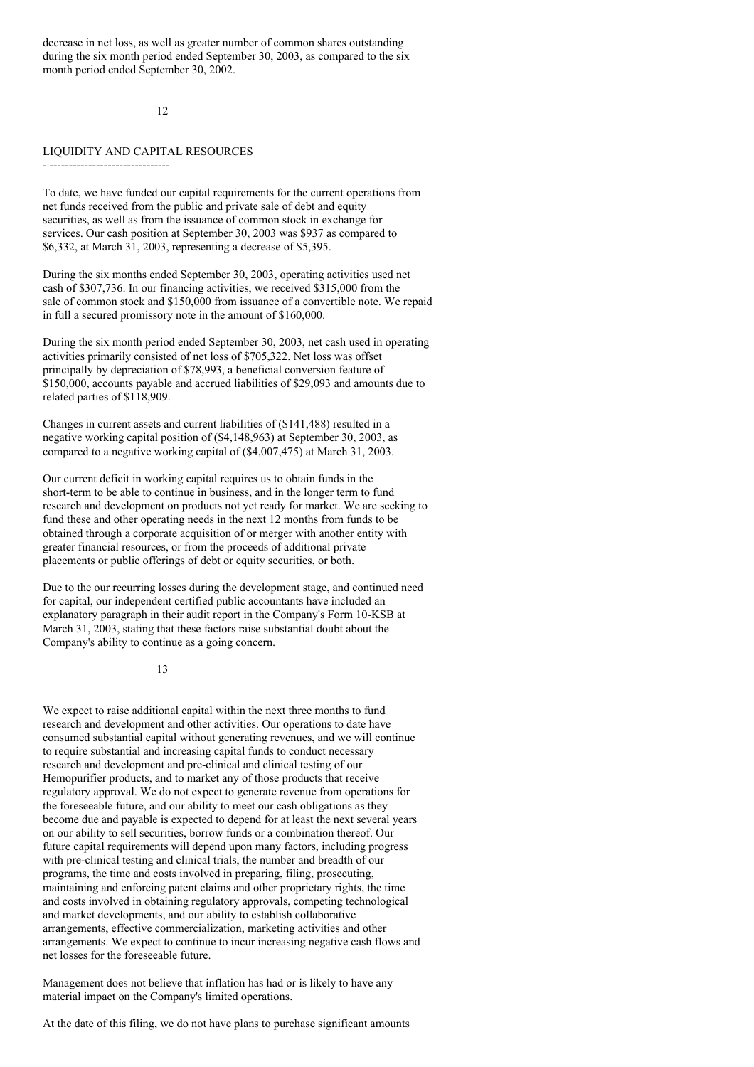decrease in net loss, as well as greater number of common shares outstanding during the six month period ended September 30, 2003, as compared to the six month period ended September 30, 2002.

12

#### LIQUIDITY AND CAPITAL RESOURCES

- -------------------------------

To date, we have funded our capital requirements for the current operations from net funds received from the public and private sale of debt and equity securities, as well as from the issuance of common stock in exchange for services. Our cash position at September 30, 2003 was \$937 as compared to \$6,332, at March 31, 2003, representing a decrease of \$5,395.

During the six months ended September 30, 2003, operating activities used net cash of \$307,736. In our financing activities, we received \$315,000 from the sale of common stock and \$150,000 from issuance of a convertible note. We repaid in full a secured promissory note in the amount of \$160,000.

During the six month period ended September 30, 2003, net cash used in operating activities primarily consisted of net loss of \$705,322. Net loss was offset principally by depreciation of \$78,993, a beneficial conversion feature of \$150,000, accounts payable and accrued liabilities of \$29,093 and amounts due to related parties of \$118,909.

Changes in current assets and current liabilities of (\$141,488) resulted in a negative working capital position of (\$4,148,963) at September 30, 2003, as compared to a negative working capital of (\$4,007,475) at March 31, 2003.

Our current deficit in working capital requires us to obtain funds in the short-term to be able to continue in business, and in the longer term to fund research and development on products not yet ready for market. We are seeking to fund these and other operating needs in the next 12 months from funds to be obtained through a corporate acquisition of or merger with another entity with greater financial resources, or from the proceeds of additional private placements or public offerings of debt or equity securities, or both.

Due to the our recurring losses during the development stage, and continued need for capital, our independent certified public accountants have included an explanatory paragraph in their audit report in the Company's Form 10-KSB at March 31, 2003, stating that these factors raise substantial doubt about the Company's ability to continue as a going concern.

13

We expect to raise additional capital within the next three months to fund research and development and other activities. Our operations to date have consumed substantial capital without generating revenues, and we will continue to require substantial and increasing capital funds to conduct necessary research and development and pre-clinical and clinical testing of our Hemopurifier products, and to market any of those products that receive regulatory approval. We do not expect to generate revenue from operations for the foreseeable future, and our ability to meet our cash obligations as they become due and payable is expected to depend for at least the next several years on our ability to sell securities, borrow funds or a combination thereof. Our future capital requirements will depend upon many factors, including progress with pre-clinical testing and clinical trials, the number and breadth of our programs, the time and costs involved in preparing, filing, prosecuting, maintaining and enforcing patent claims and other proprietary rights, the time and costs involved in obtaining regulatory approvals, competing technological and market developments, and our ability to establish collaborative arrangements, effective commercialization, marketing activities and other arrangements. We expect to continue to incur increasing negative cash flows and net losses for the foreseeable future.

Management does not believe that inflation has had or is likely to have any material impact on the Company's limited operations.

At the date of this filing, we do not have plans to purchase significant amounts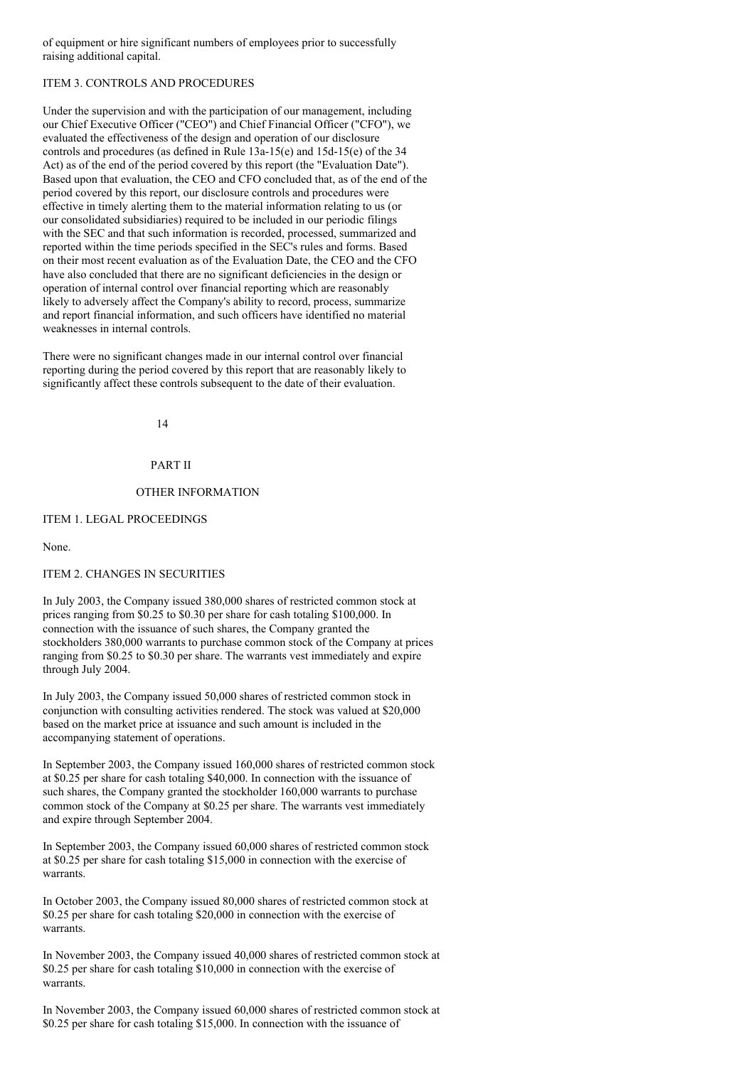of equipment or hire significant numbers of employees prior to successfully raising additional capital.

# ITEM 3. CONTROLS AND PROCEDURES

Under the supervision and with the participation of our management, including our Chief Executive Officer ("CEO") and Chief Financial Officer ("CFO"), we evaluated the effectiveness of the design and operation of our disclosure controls and procedures (as defined in Rule 13a-15(e) and 15d-15(e) of the 34 Act) as of the end of the period covered by this report (the "Evaluation Date"). Based upon that evaluation, the CEO and CFO concluded that, as of the end of the period covered by this report, our disclosure controls and procedures were effective in timely alerting them to the material information relating to us (or our consolidated subsidiaries) required to be included in our periodic filings with the SEC and that such information is recorded, processed, summarized and reported within the time periods specified in the SEC's rules and forms. Based on their most recent evaluation as of the Evaluation Date, the CEO and the CFO have also concluded that there are no significant deficiencies in the design or operation of internal control over financial reporting which are reasonably likely to adversely affect the Company's ability to record, process, summarize and report financial information, and such officers have identified no material weaknesses in internal controls.

There were no significant changes made in our internal control over financial reporting during the period covered by this report that are reasonably likely to significantly affect these controls subsequent to the date of their evaluation.

14

### PART II

## OTHER INFORMATION

## ITEM 1. LEGAL PROCEEDINGS

### None.

## ITEM 2. CHANGES IN SECURITIES

In July 2003, the Company issued 380,000 shares of restricted common stock at prices ranging from \$0.25 to \$0.30 per share for cash totaling \$100,000. In connection with the issuance of such shares, the Company granted the stockholders 380,000 warrants to purchase common stock of the Company at prices ranging from \$0.25 to \$0.30 per share. The warrants vest immediately and expire through July 2004.

In July 2003, the Company issued 50,000 shares of restricted common stock in conjunction with consulting activities rendered. The stock was valued at \$20,000 based on the market price at issuance and such amount is included in the accompanying statement of operations.

In September 2003, the Company issued 160,000 shares of restricted common stock at \$0.25 per share for cash totaling \$40,000. In connection with the issuance of such shares, the Company granted the stockholder 160,000 warrants to purchase common stock of the Company at \$0.25 per share. The warrants vest immediately and expire through September 2004.

In September 2003, the Company issued 60,000 shares of restricted common stock at \$0.25 per share for cash totaling \$15,000 in connection with the exercise of warrants.

In October 2003, the Company issued 80,000 shares of restricted common stock at \$0.25 per share for cash totaling \$20,000 in connection with the exercise of warrants.

In November 2003, the Company issued 40,000 shares of restricted common stock at \$0.25 per share for cash totaling \$10,000 in connection with the exercise of warrants.

In November 2003, the Company issued 60,000 shares of restricted common stock at \$0.25 per share for cash totaling \$15,000. In connection with the issuance of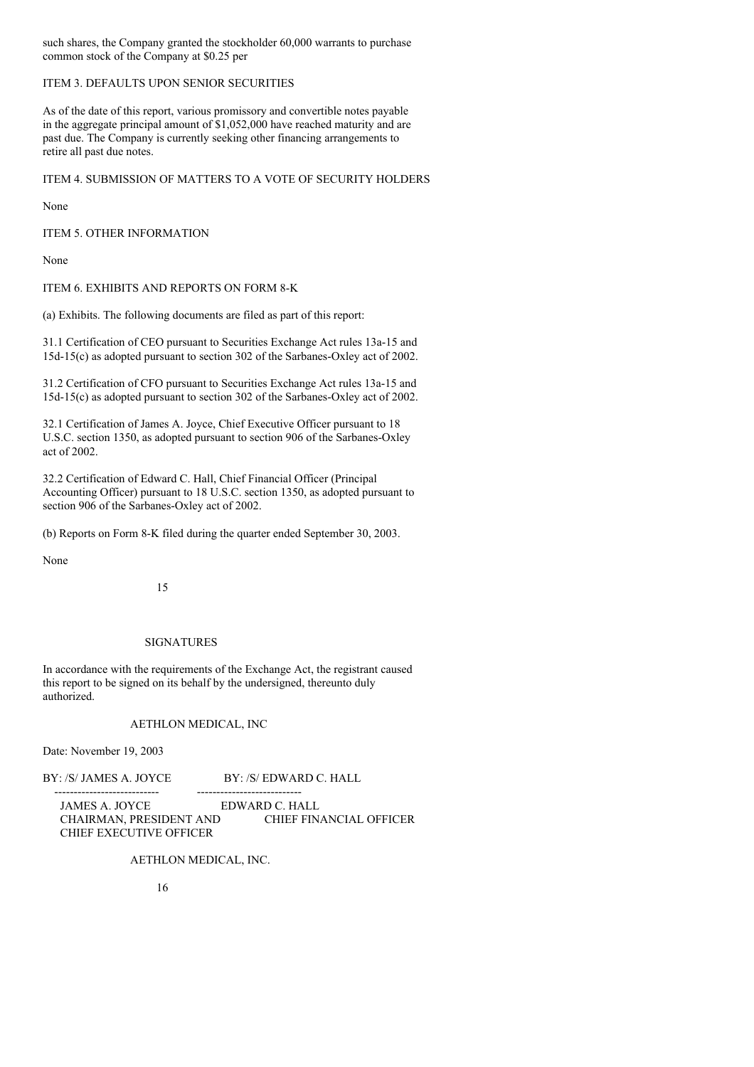such shares, the Company granted the stockholder 60,000 warrants to purchase common stock of the Company at \$0.25 per

# ITEM 3. DEFAULTS UPON SENIOR SECURITIES

As of the date of this report, various promissory and convertible notes payable in the aggregate principal amount of \$1,052,000 have reached maturity and are past due. The Company is currently seeking other financing arrangements to retire all past due notes.

ITEM 4. SUBMISSION OF MATTERS TO A VOTE OF SECURITY HOLDERS

None

ITEM 5. OTHER INFORMATION

None

ITEM 6. EXHIBITS AND REPORTS ON FORM 8-K

(a) Exhibits. The following documents are filed as part of this report:

31.1 Certification of CEO pursuant to Securities Exchange Act rules 13a-15 and 15d-15(c) as adopted pursuant to section 302 of the Sarbanes-Oxley act of 2002.

31.2 Certification of CFO pursuant to Securities Exchange Act rules 13a-15 and 15d-15(c) as adopted pursuant to section 302 of the Sarbanes-Oxley act of 2002.

32.1 Certification of James A. Joyce, Chief Executive Officer pursuant to 18 U.S.C. section 1350, as adopted pursuant to section 906 of the Sarbanes-Oxley act of 2002.

32.2 Certification of Edward C. Hall, Chief Financial Officer (Principal Accounting Officer) pursuant to 18 U.S.C. section 1350, as adopted pursuant to section 906 of the Sarbanes-Oxley act of 2002.

(b) Reports on Form 8-K filed during the quarter ended September 30, 2003.

None

15

### SIGNATURES

In accordance with the requirements of the Exchange Act, the registrant caused this report to be signed on its behalf by the undersigned, thereunto duly authorized.

# AETHLON MEDICAL, INC

Date: November 19, 2003

BY: /S/ JAMES A. JOYCE BY: /S/ EDWARD C. HALL

--------------------------- --------------------------- EDWARD C. HALL CHAIRMAN, PRESIDENT AND CHIEF FINANCIAL OFFICER CHIEF EXECUTIVE OFFICER

## AETHLON MEDICAL, INC.

16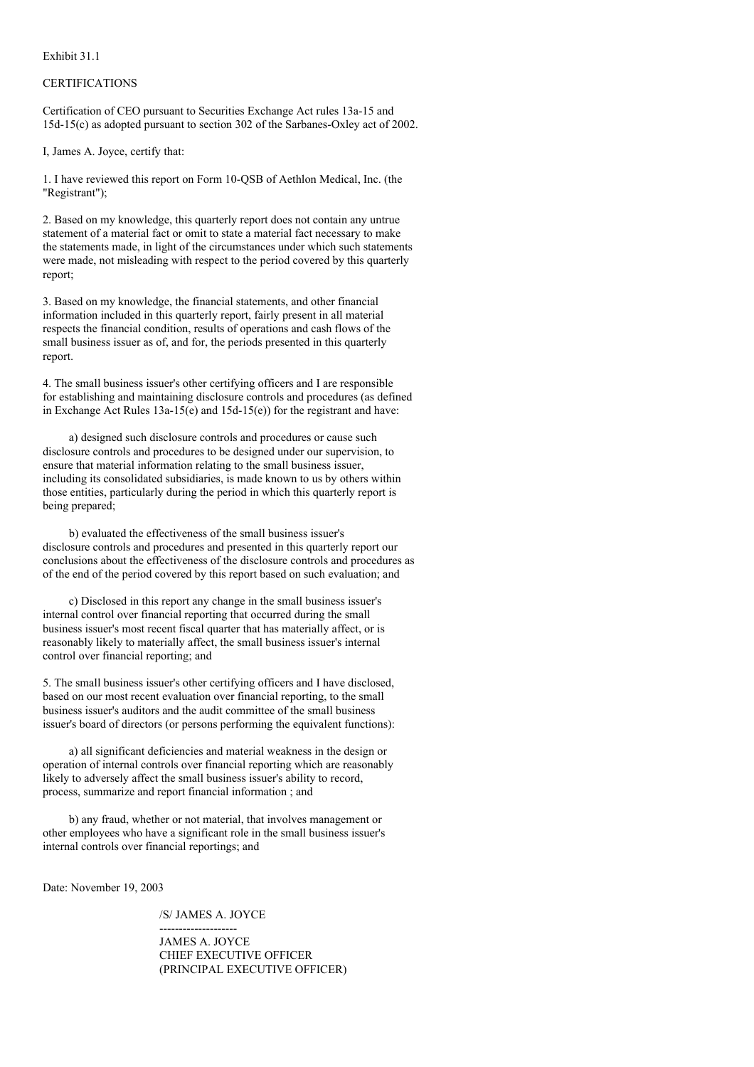Exhibit 31.1

#### **CERTIFICATIONS**

Certification of CEO pursuant to Securities Exchange Act rules 13a-15 and 15d-15(c) as adopted pursuant to section 302 of the Sarbanes-Oxley act of 2002.

I, James A. Joyce, certify that:

1. I have reviewed this report on Form 10-QSB of Aethlon Medical, Inc. (the "Registrant");

2. Based on my knowledge, this quarterly report does not contain any untrue statement of a material fact or omit to state a material fact necessary to make the statements made, in light of the circumstances under which such statements were made, not misleading with respect to the period covered by this quarterly report;

3. Based on my knowledge, the financial statements, and other financial information included in this quarterly report, fairly present in all material respects the financial condition, results of operations and cash flows of the small business issuer as of, and for, the periods presented in this quarterly report.

4. The small business issuer's other certifying officers and I are responsible for establishing and maintaining disclosure controls and procedures (as defined in Exchange Act Rules  $13a-15(e)$  and  $15d-15(e)$ ) for the registrant and have:

a) designed such disclosure controls and procedures or cause such disclosure controls and procedures to be designed under our supervision, to ensure that material information relating to the small business issuer, including its consolidated subsidiaries, is made known to us by others within those entities, particularly during the period in which this quarterly report is being prepared;

b) evaluated the effectiveness of the small business issuer's disclosure controls and procedures and presented in this quarterly report our conclusions about the effectiveness of the disclosure controls and procedures as of the end of the period covered by this report based on such evaluation; and

c) Disclosed in this report any change in the small business issuer's internal control over financial reporting that occurred during the small business issuer's most recent fiscal quarter that has materially affect, or is reasonably likely to materially affect, the small business issuer's internal control over financial reporting; and

5. The small business issuer's other certifying officers and I have disclosed, based on our most recent evaluation over financial reporting, to the small business issuer's auditors and the audit committee of the small business issuer's board of directors (or persons performing the equivalent functions):

a) all significant deficiencies and material weakness in the design or operation of internal controls over financial reporting which are reasonably likely to adversely affect the small business issuer's ability to record, process, summarize and report financial information ; and

b) any fraud, whether or not material, that involves management or other employees who have a significant role in the small business issuer's internal controls over financial reportings; and

Date: November 19, 2003

/S/ JAMES A. JOYCE

-------------------- JAMES A. JOYCE CHIEF EXECUTIVE OFFICER (PRINCIPAL EXECUTIVE OFFICER)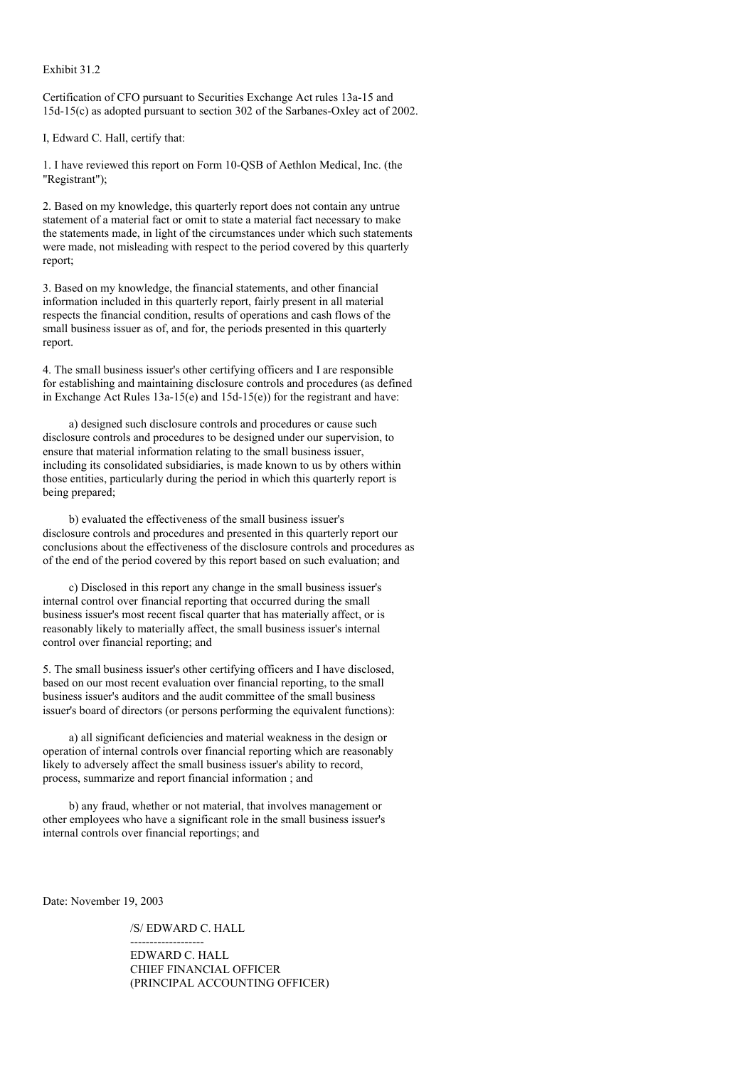Exhibit 31.2

Certification of CFO pursuant to Securities Exchange Act rules 13a-15 and 15d-15(c) as adopted pursuant to section 302 of the Sarbanes-Oxley act of 2002.

I, Edward C. Hall, certify that:

1. I have reviewed this report on Form 10-QSB of Aethlon Medical, Inc. (the "Registrant");

2. Based on my knowledge, this quarterly report does not contain any untrue statement of a material fact or omit to state a material fact necessary to make the statements made, in light of the circumstances under which such statements were made, not misleading with respect to the period covered by this quarterly report;

3. Based on my knowledge, the financial statements, and other financial information included in this quarterly report, fairly present in all material respects the financial condition, results of operations and cash flows of the small business issuer as of, and for, the periods presented in this quarterly report.

4. The small business issuer's other certifying officers and I are responsible for establishing and maintaining disclosure controls and procedures (as defined in Exchange Act Rules  $13a-15(e)$  and  $15d-15(e)$  for the registrant and have:

a) designed such disclosure controls and procedures or cause such disclosure controls and procedures to be designed under our supervision, to ensure that material information relating to the small business issuer, including its consolidated subsidiaries, is made known to us by others within those entities, particularly during the period in which this quarterly report is being prepared;

b) evaluated the effectiveness of the small business issuer's disclosure controls and procedures and presented in this quarterly report our conclusions about the effectiveness of the disclosure controls and procedures as of the end of the period covered by this report based on such evaluation; and

c) Disclosed in this report any change in the small business issuer's internal control over financial reporting that occurred during the small business issuer's most recent fiscal quarter that has materially affect, or is reasonably likely to materially affect, the small business issuer's internal control over financial reporting; and

5. The small business issuer's other certifying officers and I have disclosed, based on our most recent evaluation over financial reporting, to the small business issuer's auditors and the audit committee of the small business issuer's board of directors (or persons performing the equivalent functions):

a) all significant deficiencies and material weakness in the design or operation of internal controls over financial reporting which are reasonably likely to adversely affect the small business issuer's ability to record, process, summarize and report financial information ; and

b) any fraud, whether or not material, that involves management or other employees who have a significant role in the small business issuer's internal controls over financial reportings; and

Date: November 19, 2003

/S/ EDWARD C. HALL

-------------------

EDWARD C. HALL CHIEF FINANCIAL OFFICER (PRINCIPAL ACCOUNTING OFFICER)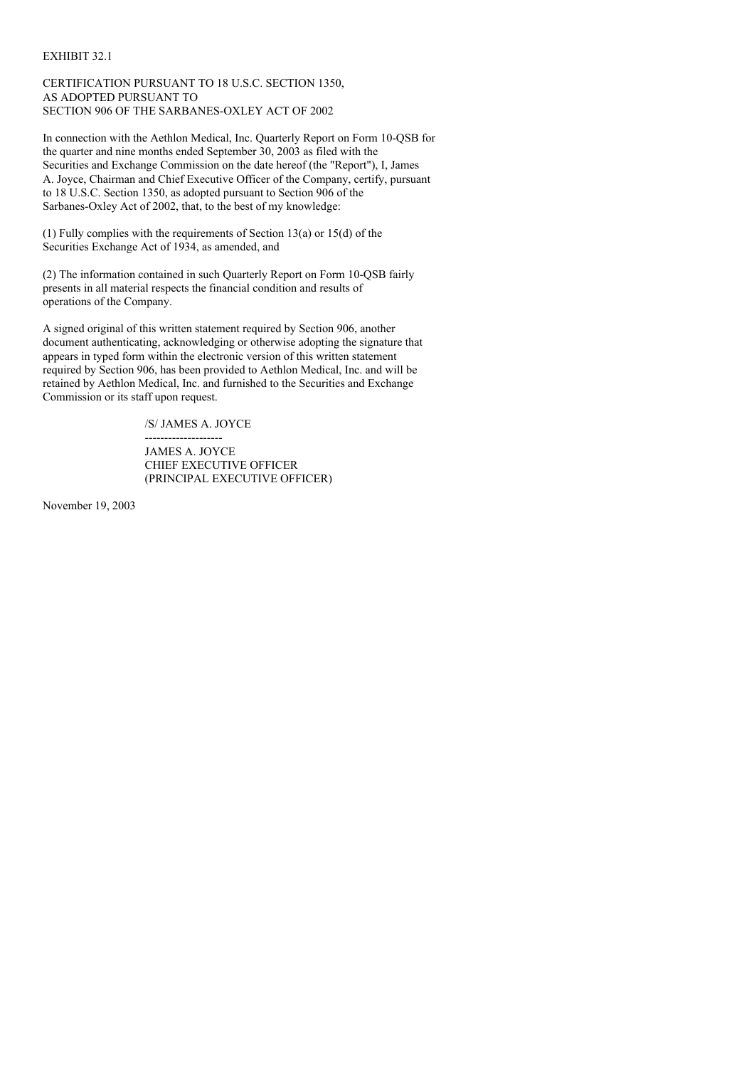### EXHIBIT 32.1

# CERTIFICATION PURSUANT TO 18 U.S.C. SECTION 1350, AS ADOPTED PURSUANT TO SECTION 906 OF THE SARBANES-OXLEY ACT OF 2002

In connection with the Aethlon Medical, Inc. Quarterly Report on Form 10-QSB for the quarter and nine months ended September 30, 2003 as filed with the Securities and Exchange Commission on the date hereof (the "Report"), I, James A. Joyce, Chairman and Chief Executive Officer of the Company, certify, pursuant to 18 U.S.C. Section 1350, as adopted pursuant to Section 906 of the Sarbanes-Oxley Act of 2002, that, to the best of my knowledge:

(1) Fully complies with the requirements of Section 13(a) or 15(d) of the Securities Exchange Act of 1934, as amended, and

(2) The information contained in such Quarterly Report on Form 10-QSB fairly presents in all material respects the financial condition and results of operations of the Company.

A signed original of this written statement required by Section 906, another document authenticating, acknowledging or otherwise adopting the signature that appears in typed form within the electronic version of this written statement required by Section 906, has been provided to Aethlon Medical, Inc. and will be retained by Aethlon Medical, Inc. and furnished to the Securities and Exchange Commission or its staff upon request.

/S/ JAMES A. JOYCE

-------------------- JAMES A. JOYCE CHIEF EXECUTIVE OFFICER (PRINCIPAL EXECUTIVE OFFICER)

November 19, 2003